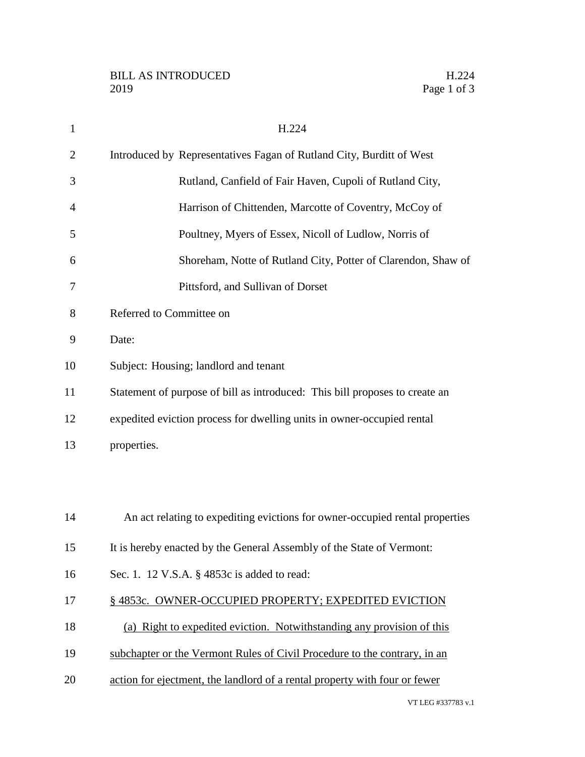| 1              | H.224                                                                        |
|----------------|------------------------------------------------------------------------------|
| $\overline{2}$ | Introduced by Representatives Fagan of Rutland City, Burditt of West         |
| 3              | Rutland, Canfield of Fair Haven, Cupoli of Rutland City,                     |
| 4              | Harrison of Chittenden, Marcotte of Coventry, McCoy of                       |
| 5              | Poultney, Myers of Essex, Nicoll of Ludlow, Norris of                        |
| 6              | Shoreham, Notte of Rutland City, Potter of Clarendon, Shaw of                |
| 7              | Pittsford, and Sullivan of Dorset                                            |
| 8              | Referred to Committee on                                                     |
| 9              | Date:                                                                        |
| 10             | Subject: Housing; landlord and tenant                                        |
| 11             | Statement of purpose of bill as introduced: This bill proposes to create an  |
| 12             | expedited eviction process for dwelling units in owner-occupied rental       |
| 13             | properties.                                                                  |
|                |                                                                              |
|                |                                                                              |
| 14             | An act relating to expediting evictions for owner-occupied rental properties |
| 15             | It is hereby enacted by the General Assembly of the State of Vermont:        |
| 16             | Sec. 1. 12 V.S.A. § 4853c is added to read:                                  |
| 17             | §4853c. OWNER-OCCUPIED PROPERTY; EXPEDITED EVICTION                          |
| 18             | (a) Right to expedited eviction. Notwithstanding any provision of this       |
| 19             | subchapter or the Vermont Rules of Civil Procedure to the contrary, in an    |
| 20             | action for ejectment, the landlord of a rental property with four or fewer   |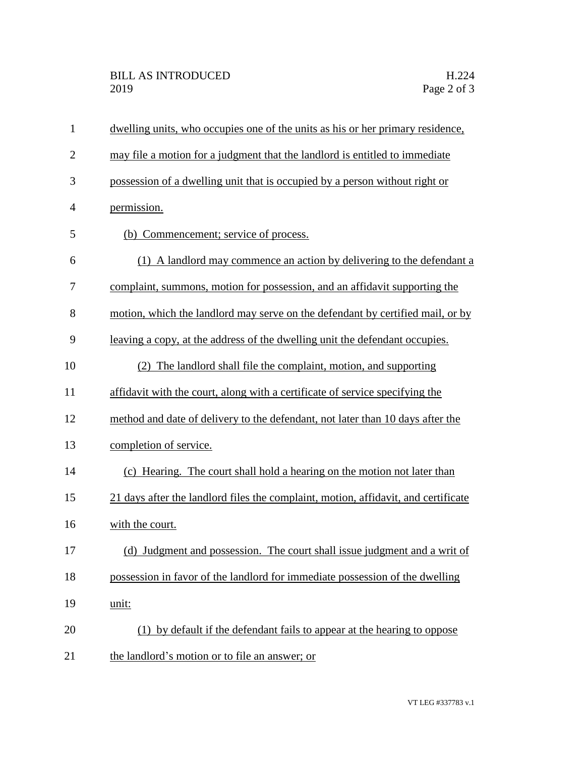| $\mathbf{1}$   | dwelling units, who occupies one of the units as his or her primary residence,     |
|----------------|------------------------------------------------------------------------------------|
| $\overline{2}$ | may file a motion for a judgment that the landlord is entitled to immediate        |
| 3              | possession of a dwelling unit that is occupied by a person without right or        |
| $\overline{4}$ | permission.                                                                        |
| 5              | (b) Commencement; service of process.                                              |
| 6              | (1) A landlord may commence an action by delivering to the defendant a             |
| 7              | complaint, summons, motion for possession, and an affidavit supporting the         |
| 8              | motion, which the landlord may serve on the defendant by certified mail, or by     |
| 9              | leaving a copy, at the address of the dwelling unit the defendant occupies.        |
| 10             | The landlord shall file the complaint, motion, and supporting                      |
| 11             | affidavit with the court, along with a certificate of service specifying the       |
| 12             | method and date of delivery to the defendant, not later than 10 days after the     |
| 13             | completion of service.                                                             |
| 14             | (c) Hearing. The court shall hold a hearing on the motion not later than           |
| 15             | 21 days after the landlord files the complaint, motion, affidavit, and certificate |
| 16             | with the court.                                                                    |
| 17             | (d) Judgment and possession. The court shall issue judgment and a writ of          |
| 18             | possession in favor of the landlord for immediate possession of the dwelling       |
| 19             | unit:                                                                              |
| 20             | (1) by default if the defendant fails to appear at the hearing to oppose           |
| 21             | the landlord's motion or to file an answer; or                                     |